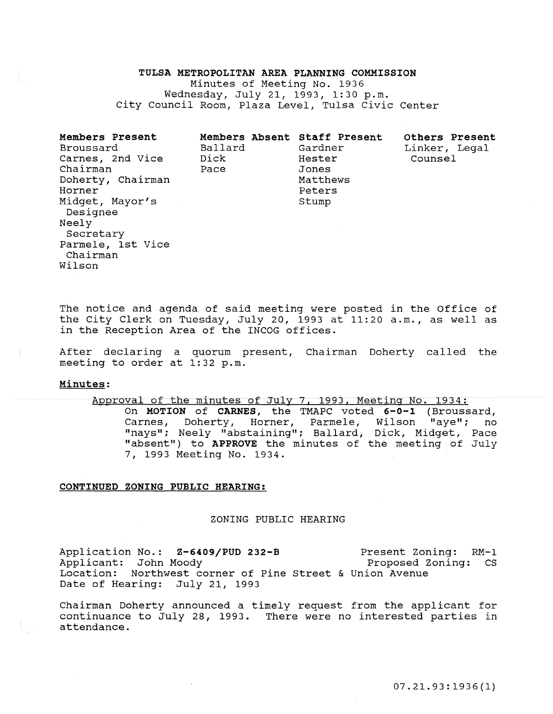#### TULSA METROPOLITAN AREA PLANNING COMMISSION

Minutes of Meeting No. 1936 Wednesday, July 21, 1993, 1:30 p.m. City Council Room, Plaza Level, Tulsa Civic Center

| Members Present<br>Broussard<br>Carnes, 2nd Vice<br>Chairman<br>Doherty, Chairman<br>Horner<br>Midget, Mayor's<br>Designee<br>Neely<br>Secretary<br>Parmele, 1st Vice | Ballard<br>Dick<br>Pace | Members Absent Staff Present<br>Gardner<br>Hester<br>Jones<br>Matthews<br>Peters<br>Stump | Others Present<br>Linker, Legal<br>Counsel |
|-----------------------------------------------------------------------------------------------------------------------------------------------------------------------|-------------------------|-------------------------------------------------------------------------------------------|--------------------------------------------|
| Chairman<br>Wilson                                                                                                                                                    |                         |                                                                                           |                                            |

The notice and agenda of said meeting were posted in the Office of the City Clerk on Tuesday, July 20, 1993 at 11:20 a.m., as well as in the Reception Area of the INCOG offices.

After declaring a quorum present, Chairman Doherty called the meeting to order at 1:32 p.m.

# Minutes:

Approval of the minutes of July 7, 1993, Meeting No. 1934: On MOTION of CARNES, the TMAPC voted 6-0-l (Broussard, Carnes, Doherty, Horner, Parmele, Wilson "aye"; no "nays"; Neely "abstaining"; Ballard, Dick, Midget, Pace "absent") to APPROVE the minutes of the meeting of July 7, 1993 Meeting No. 1934.

## CONTINUED ZONING PUBLIC HEARING:

### ZONING PUBLIC HEARING

Application No.: Z-6409/PUD 232-B Applicant: John Moody Location: Northwest corner of Pine Street & Union Avenue Date of Hearing: July 21, 1993 Present Zoning: RM-1 Proposed Zoning: cs

Chairman Doherty announced a timely request from the applicant for continuance to July 28, 1993. There were no interested parties in attendance.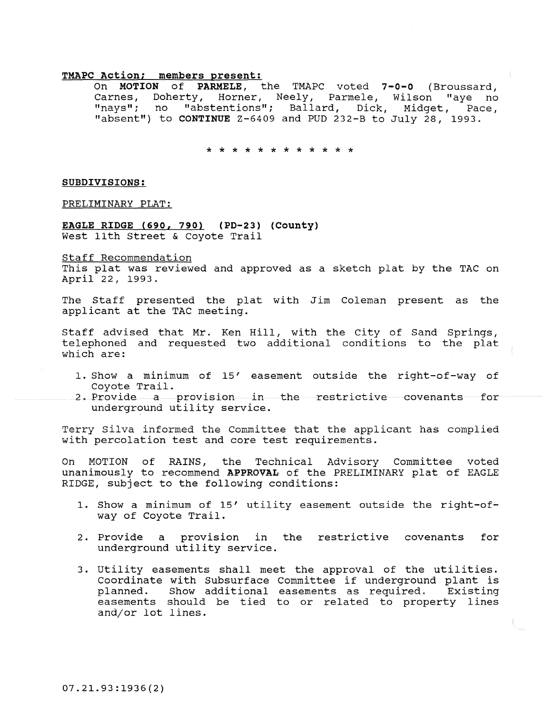## **TMAPC Action; members present:**

On **MOTION of PARMELE,** the TMAPC voted **7-0-0** (Broussard, Carnes, Doherty, Horner, Neely, Parmele, Wilson "aye no "nays"; no "abstentions"; Ballard, Dick, Midget, Pace, "absent") to **CONTINUE** Z-6409 and PUD 232-B to July 28, 1993.

\* \* \* \* \* \* \* \* \* \* \* \*

### **SUBDIVISIONS:**

PRELIMINARY PLAT:

**EAGLE RIDGE (690, 790) (PD-23) (County)**  West 11th Street & Coyote Trail

Staff Recommendation This plat was reviewed and approved as a sketch plat by the TAC on April 22, 1993.

The Staff presented the plat with Jim Coleman present as the applicant at the TAC meeting.

Staff advised that Mr. Ken Hill, with the city of Sand Springs, telephoned and requested two additional conditions to the plat which are:

- 1. Show a minimum of 15' easement outside the right-of-way of Coyote Trail.
- 2. Provide a provision in the restrictive covenants for underground utility service.

Terry Silva informed the Committee that the applicant has complied with percolation test and core test requirements.

On MOTION of RAINS, the Technical Advisory Committee voted unanimously to recommend APPROVAL of the PRELIMINARY plat of EAGLE RIDGE, subject to the following conditions:

- 1. Show a minimum of 15' utility easement outside the right-ofway of Coyote Trail.
- 2. Provide a provision in the restrictive covenants for underground utility service.
- 3. Utility easements shall meet the approval of the utilities. Coordinate with Subsurface Committee if underground plant is planned. Show additional easements as required. Existing easements should be tied to or related to property lines and/or lot lines.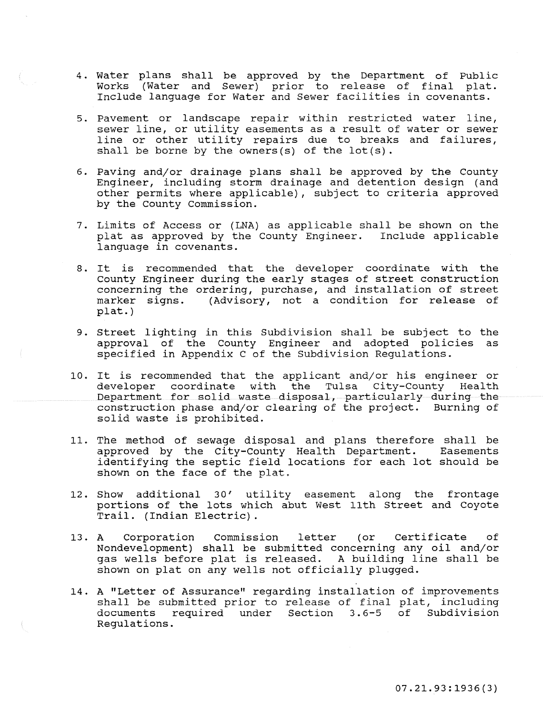- 4. Water plans shall be approved by the Department of Public Works (Water and Sewer) prior to release of final plat. Include language for Water and Sewer facilities in covenants.
- 5. Pavement or landscape repair within restricted water line, sewer line, or utility easements as a result of water or sewer line or other utility repairs due to breaks and failures, shall be borne by the owners(s) of the lot(s).
- 6. Paving and/or drainage plans shall be approved by the County Engineer, including storm drainage and detention design (and other permits where applicable), subject to criteria approved by the County Commission.
- 7. Limits of Access or (LNA) as applicable shall be shown on the plat as approved by the County Engineer. Include applicable language in covenants.
- 8. It is recommended that the developer coordinate with the county Engineer during the early stages of street construction concerning the ordering, purchase, and installation of street<br>marker signs. (Advisory, not a condition for release of (Advisory, not a condition for release of plat.)
- 9. Street lighting in this Subdivision shall be subject to the approval of the County Engineer and adopted policies as specified in Appendix C of the Subdivision Regulations.
- 10. It is recommended that the applicant and/or his engineer or developer coordinate with the Tulsa City-County Health Department for solid waste disposal, particularly during the construction phase and/or clearing of the project. Burning of solid waste is prohibited.
- 11. The method of sewage disposal and plans therefore shall be approved by the City-County Health Department. Easements identifying the septic field locations for each lot should be shown on the face of the plat.
- 12. Show additional 30' utility easement along the frontage portions of the lots which abut West 11th Street and Coyote Trail. (Indian Electric).
- 13. A Corporation Commission letter (or Certificate of 13. A Corporation Commission letter (or Certificate of Nondevelopment) shall be submitted concerning any oil and/or gas wells before plat is released. A building line shall be shown on plat on any wells not officially plugged.
- 14. A "Letter of Assurance" regarding installation of improvements shall be submitted prior to release of final plat, including documents required under Section 3. 6-5 of Subdivision Regulations.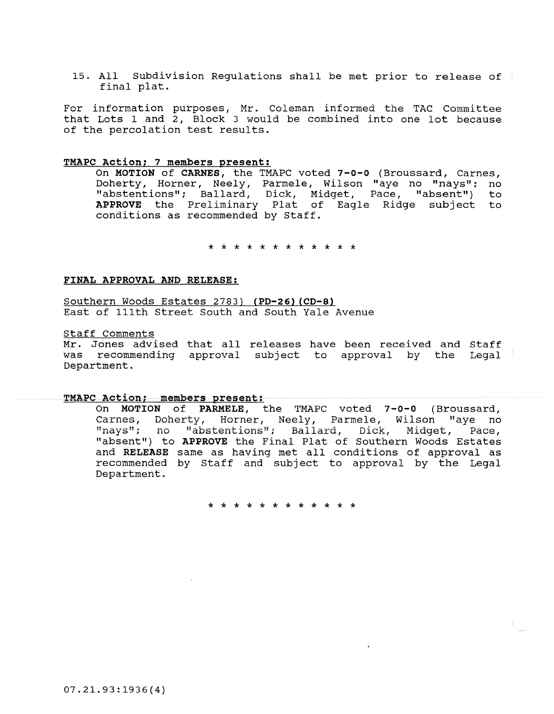15. All Subdivision Regulations shall be met prior to release of final plat.

For information purposes, Mr. Coleman informed the TAC Committee that Lots 1 and 2, Block 3 would be combined into one lot because of the percolation test results.

# TMAPC Action; 7 members present:

On MOTION of CARNES, the TMAPC voted 7-0-0 (Broussard, Carnes, Doherty, Horner, Neely, Parmele, Wilson "aye no "nays"; no "abstentions"; Ballard, Dick, Midget, Pace, "absent") to APPROVE the Preliminary Plat of Eagle Ridge subject to conditions as recommended by Staff.

\* \* \* \* \* \* \* \* \* \* \* \*

# FINAL APPROVAL AND RELEASE:

Southern Woods Estates 2783) (PD-26) (CD-8) East of 111th Street South and South Yale Avenue

Staff Comments

<u>bearr commence</u><br>Mr. Jones advised that all releases have been received and Staff was recommending approval subject to approval by the Legal Department.

### TMAPC Action; members present:

On MOTION of PARMELE, the TMAPC voted 7-0-0 (Broussard, Carnes, Doherty, Horner, Neely, Parmele, Wilson "aye no "navs"; no "abstentions"; Ballard, Dick, Midget, Pace, "absent") to APPROVE the Final Plat of Southern Woods Estates and RELEASE same as having met all conditions of approval as recommended by Staff and subject to approval by the Legal Department.

\* \* \* \* \* \* \* \* \* \* \* \*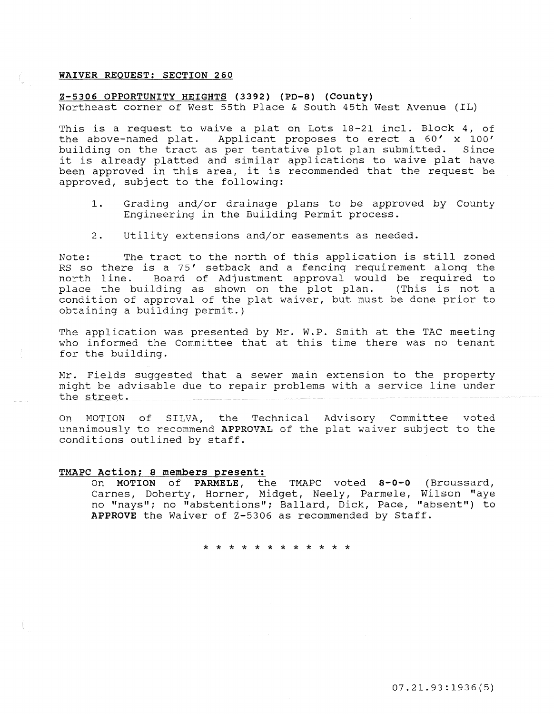# **WAIVER REQUEST: SECTION 260**

### **Z-5306 OPPORTUNITY HEIGHTS (3392) (PD-8) (County)**

Northeast corner of West 55th Place & South 45th West Avenue (IL)

This is a request to waive a plat on Lots 18-21 incl. Block 4, of the above-named plat. Applicant proposes to erect a 60' x 100' building on the tract as per tentative plot plan submitted. Since it is already platted and similar applications to waive plat have been approved in this area, it is recommended that the request be approved, subject to the following:

- 1. Grading and/or drainage plans to be approved by County Engineering in the Building Permit process.
- 2. Utility extensions and/or easements as needed.

Note: The tract to the north of this application is still zoned RS so there is a 75' setback and a fencing requirement along the north line. Board of Adjustment approval would be required to place the building as shown on the plot plan. (This is not a condition of approval of the plat waiver, but must be done prior to obtaining a building permit.)

The application was presented by Mr. W.P. Smith at the TAC meeting who informed the Committee that at this time there was no tenant for the building.

Mr. Fields suggested that a sewer main extension to the property might be advisable due to repair problems with a service line under the street.

On MOTION of SILVA, the Technical Advisory Committee voted **unanimously to recommend APPROVAL of the**  plat waiver subject to the conditions outlined by staff.

#### **TMAPC Action; 8 members present:**

On **MOTION of PARMELE,** the TMAPC voted **8-0-0** (Broussard, Carnes, Doherty, Horner, Midget, Neely, Parmele, Wilson "aye no "nays"; no "abstentions"; Ballard, Dick, Pace, "absent") to **APPROVE** the Waiver of Z-5306 as recommended by Staff.

\* \* \* \* \* \* \* \* \* \* \* \*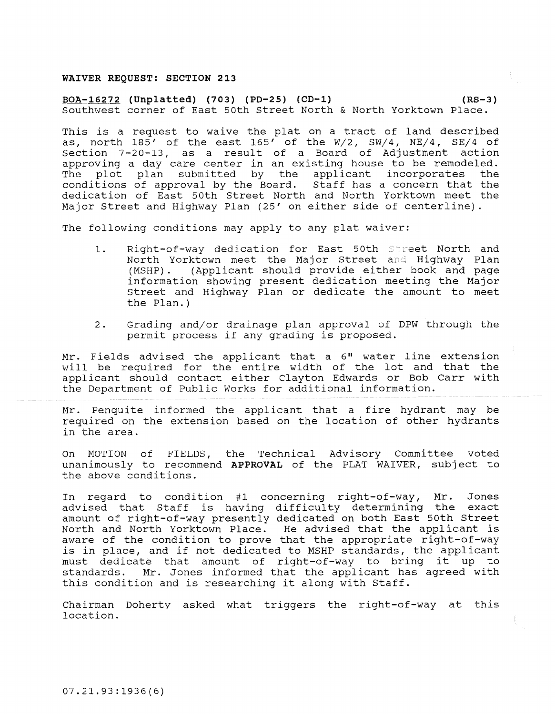### **WAIVER REQUEST: SECTION 213**

### **BOA-16272 (Unplatted) (703) (PD-25) (CD-1) (RS-3)**  Southwest corner of East 50th Street North & North Yorktown Place.

This is a request to waive the plat on a tract of land described as, north  $185'$  of the east  $165'$  of the W/2, SW/4, NE/4, SE/4 of Section 7-20-13, as a result of a Board of Adjustment action approving a day care center in an existing house to be remodeled. The plot plan submitted by the applicant incorporates the conditions of approval by the Board. Staff has a concern that the dedication of East 50th Street North and North Yorktown meet the Major Street and Highway Plan (25' on either side of centerline).

The following conditions may apply to any plat waiver:

- 1. Right-of-way dedication for East 50th Street North and North Yorktown meet the Major Street and Highway Plan<br>(MSHP). (Applicant should provide either book and page (Applicant should provide either book and page information showing present dedication meeting the Major Street and Highway Plan or dedicate the amount to meet the Plan.)
- 2. Grading and/or drainage plan approval of DPW through the permit process if any grading is proposed.

Mr. Fields advised the applicant that a 6" water line extension will be required for the entire width of the lot and that the applicant should contact either Clayton Edwards or Bob Carr with the Department of Public Works for additional information.

Mr. Penquite informed the applicant that a fire hydrant may be required on the extension based on the location of other hydrants in the area.

On MOTION of FIELDS, the Technical Advisory Committee voted unanimously to recommend **APPROVAL** of the PLAT WAIVER, subject to **the above conditions.** 

In regard to condition #1 concerning right-of-way, Mr. Jones advised that Staff is having difficulty determining the exact amount of right-of-way presently dedicated on both East 50th Street North and North Yorktown Place. He advised that the applicant is aware of the condition to prove that the appropriate right-of-way is in place, and if not dedicated to MSHP standards, the applicant must dedicate that amount of right-of-way to bring it up to standards. Mr. Jones informed that the applicant has agreed with this condition and is researching it along with Staff.

Chairman Doherty asked what triggers the right-of-way at this location.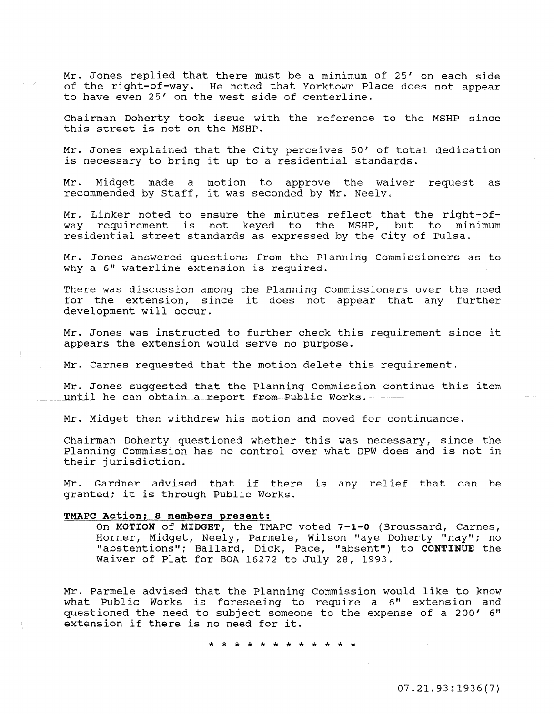Mr. Jones replied that there must be a minimum of 25' on each side of the right-of-way. He noted that Yorktown Place does not appear to have even 25' on the west side of centerline.

Chairman Doherty took issue with the reference to the MSHP since this street is not on the MSHP.

Mr. Jones explained that the City perceives 50' of total dedication is necessary to bring it up to a residential standards.

Mr. Midget made a motion to approve the waiver request as recommended by Staff, it was seconded by Mr. Neely.

Mr. Linker noted to ensure the minutes reflect that the right-of-<br>way requirement is not keved to the MSHP, but to minimum way requirement is not keyed to the MSHP, but to residential street standards as expressed by the City of Tulsa.

Mr. Jones answered questions from the Planning Commissioners as to why a 6" waterline extension is required.

There was discussion among the Planning Commissioners over the need for the extension, since it does not appear that any further development will occur.

Mr. Jones was instructed to further check this requirement since it appears the extension would serve no purpose.

Mr. Carnes requested that the motion delete this requirement.

Mr. Jones suggested that the Planning Commission continue this item until he can obtain a report from Public Works.

Mr. Midget then withdrew his motion and moved for continuance.

Chairman Doherty questioned whether this was necessary, since the Planning Commission has no control over what DPW does and is not in their jurisdiction.

Mr. Gardner advised that if there is any relief that can be granted; it is through Public Works.

#### TMAPC Action; 8 members present:

On MOTION of MIDGET, the TMAPC voted 7-l-0 (Broussard, Carnes, Horner, Midget, Neely, Parmele, Wilson "aye Doherty "nay"; no "abstentions"; Ballard, Dick, Pace, "absent") to CONTINUE the Waiver of Plat for BOA 16272 to July 28, 1993.

Mr. Parmele advised that the Planning Commission would like to know what Public Works is foreseeing to require a 6" extension and questioned the need to subject someone to the expense of a 200' 6" extension if there is no need for it.

\* \* \* \* \* \* \* \* \* \* \* \*

07. 21.93:1936 (7)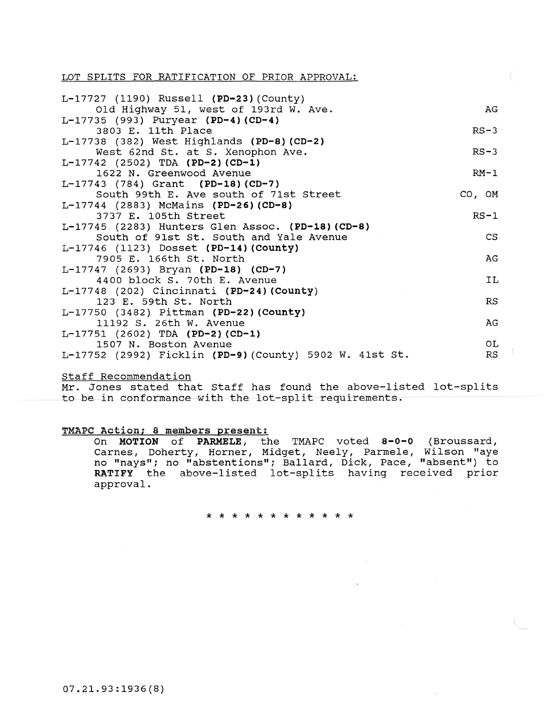LOT SPLITS FOR RATIFICATION OF PRIOR APPROVAL:

| L-17727 (1190) Russell (PD-23) (County)                                                      |             |
|----------------------------------------------------------------------------------------------|-------------|
| Old Highway 51, west of 193rd W. Ave.                                                        | AG          |
| L-17735 (993) Puryear (PD-4) (CD-4)                                                          |             |
| 3803 E. 11th Place                                                                           | $RS-3$      |
| $L-17738$ (382) West Highlands (PD-8) (CD-2)                                                 |             |
| West 62nd St. at S. Xenophon Ave.                                                            | $RS-3$      |
| $L-17742$ (2502) TDA (PD-2)(CD-1)                                                            |             |
| 1622 N. Greenwood Avenue                                                                     | $RM-1$      |
| $L-17743$ (784) Grant (PD-18) (CD-7)                                                         |             |
| South 99th E. Ave south of 71st Street                                                       | $CO$ , $OM$ |
| L-17744 (2883) McMains (PD-26) (CD-8)                                                        |             |
| 3737 E. 105th Street                                                                         | $RS-1$      |
| L-17745 (2283) Hunters Glen Assoc. (PD-18) (CD-8)<br>South of 91st St. South and Yale Avenue | <b>CS</b>   |
| L-17746 (1123) Dosset (PD-14) (County)                                                       |             |
| 7905 E. 166th St. North                                                                      | AG          |
| $L-17747$ (2693) Bryan (PD-18) (CD-7)                                                        |             |
| 4400 block S. 70th E. Avenue                                                                 | <b>IL</b>   |
| $L-17748$ (202) Cincinnati (PD-24) (County)                                                  |             |
| 123 E. 59th St. North                                                                        | <b>RS</b>   |
| L-17750 (3482) Pittman (PD-22) (County)                                                      |             |
| 11192 S. 26th W. Avenue                                                                      | AG          |
| $L-17751$ (2602) TDA (PD-2)(CD-1)                                                            |             |
| 1507 N. Boston Avenue                                                                        | OL.         |
| L-17752 (2992) Ficklin (PD-9) (County) 5902 W. 41st St.                                      | <b>RS</b>   |

# Staff Recommendation

Mr. Jones stated that Staff has found the above-listed lot-splits to be in conformance with the lot-split requirements.

# TMAPC Action; 8 members present:

On MOTION of PARMELE, the TMAPC voted 8-0-0 (Broussard, Carnes, Doherty, Horner, Midget, Neely, Parmele, Wilson "aye no "nays"; no "abstentions"; Ballard, Dick, Pace, "absent") to RATIFY the above-listed lot-splits having received prior approval.

\* \* \* \* \* \* \* \* \* \* \* \*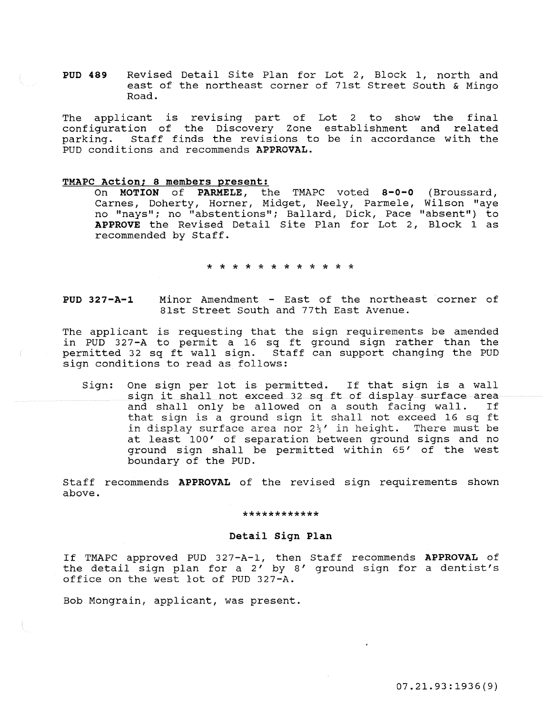PUD 489 Revised Detail Site Plan for Lot 2, Block 1, north and east of the northeast corner of 71st Street South & Mingo Road.

The applicant is revising part of Lot 2 to show the final configuration of the Discovery Zone establishment and related parking. staff finds the revisions to be in accordance with the **PUD conditions and recommends APPROVAL.** 

### TMAPC Action; 8 members present:

On MOTION of PARMELE, the TMAPC voted 8-0-0 (Broussard, Carnes, Doherty, Horner, Midget, Neely, Parmele, Wilson "aye no "nays"; no "abstentions"; Ballard, Dick, Pace "absent") to APPROVE the Revised Detail Site Plan for Lot 2, Block 1 as recommended by Staff.

\* \* \* \* \* \* \* \* \* \* \* \*

PUD 327-A-1 Minor Amendment - East of the northeast corner of 81st Street South and 77th East Avenue.

The applicant is requesting that the sign requirements be amended in PUD 327-A to permit a 16 sq ft ground sign rather than the permitted 32 sq ft wall sign. Staff can support changing the PUD sign conditions to read as follows:

Sign: One sign per lot is permitted. If that sign is a wall sign it shall not exceed 32 sq ft of display surface area and shall only be allowed on a south facing wall. that sign is a ground sign it shall not exceed 16 sq ft in display surface area nor  $2\frac{1}{2}$ ' in height. There must be at least 100' of separation between ground signs and no ground sign shall be permitted within 65' of the west boundary of the PUD.

Staff recommends APPROVAL of the revised sign requirements shown above.

### \*\*\*\*\*\*\*\*\*\*

## Detail Sign Plan

If TMAPC approved PUD 327-A-1, then Staff recommends APPROVAL of the detail sign plan for a 2' by 8' ground sign for a dentist's office on the west lot of PUD 327-A.

Bob Mongrain, applicant, was present.